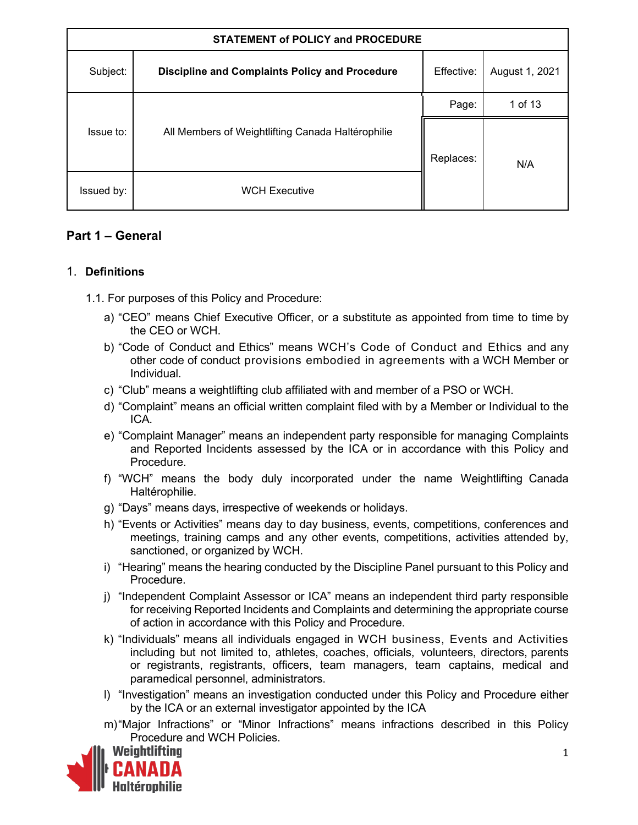| <b>STATEMENT of POLICY and PROCEDURE</b> |                                                       |            |                |
|------------------------------------------|-------------------------------------------------------|------------|----------------|
| Subject:                                 | <b>Discipline and Complaints Policy and Procedure</b> | Effective: | August 1, 2021 |
|                                          |                                                       | Page:      | 1 of 13        |
| Issue to:                                | All Members of Weightlifting Canada Haltérophilie     | Replaces:  | N/A            |
| Issued by:                               | <b>WCH Executive</b>                                  |            |                |

## **Part 1 – General**

## 1. **Definitions**

- 1.1. For purposes of this Policy and Procedure:
	- a) "CEO" means Chief Executive Officer, or a substitute as appointed from time to time by the CEO or WCH.
	- b) "Code of Conduct and Ethics" means WCH's Code of Conduct and Ethics and any other code of conduct provisions embodied in agreements with a WCH Member or Individual.
	- c) "Club" means a weightlifting club affiliated with and member of a PSO or WCH.
	- d) "Complaint" means an official written complaint filed with by a Member or Individual to the ICA.
	- e) "Complaint Manager" means an independent party responsible for managing Complaints and Reported Incidents assessed by the ICA or in accordance with this Policy and Procedure.
	- f) "WCH" means the body duly incorporated under the name Weightlifting Canada Haltérophilie.
	- g) "Days" means days, irrespective of weekends or holidays.
	- h) "Events or Activities" means day to day business, events, competitions, conferences and meetings, training camps and any other events, competitions, activities attended by, sanctioned, or organized by WCH.
	- i) "Hearing" means the hearing conducted by the Discipline Panel pursuant to this Policy and Procedure.
	- j) "Independent Complaint Assessor or ICA" means an independent third party responsible for receiving Reported Incidents and Complaints and determining the appropriate course of action in accordance with this Policy and Procedure.
	- k) "Individuals" means all individuals engaged in WCH business, Events and Activities including but not limited to, athletes, coaches, officials, volunteers, directors, parents or registrants, registrants, officers, team managers, team captains, medical and paramedical personnel, administrators.
	- l) "Investigation" means an investigation conducted under this Policy and Procedure either by the ICA or an external investigator appointed by the ICA
	- m)"Major Infractions" or "Minor Infractions" means infractions described in this Policy Procedure and WCH Policies.

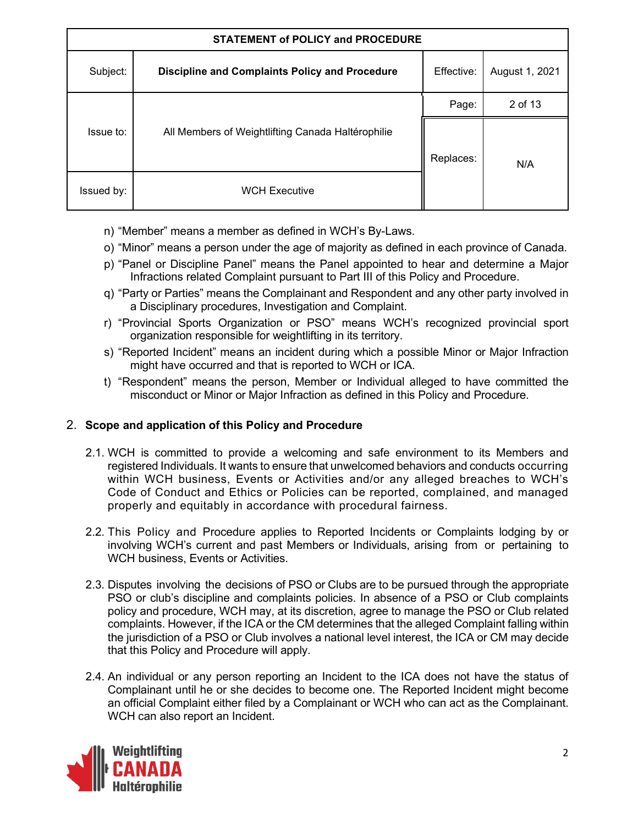| <b>STATEMENT of POLICY and PROCEDURE</b> |                                                       |            |                |
|------------------------------------------|-------------------------------------------------------|------------|----------------|
| Subject:                                 | <b>Discipline and Complaints Policy and Procedure</b> | Effective: | August 1, 2021 |
|                                          |                                                       | Page:      | 2 of 13        |
| Issue to:                                | All Members of Weightlifting Canada Haltérophilie     | Replaces:  | N/A            |
| Issued by:                               | <b>WCH Executive</b>                                  |            |                |

- n) "Member" means a member as defined in WCH's By-Laws.
- o) "Minor" means a person under the age of majority as defined in each province of Canada.
- p) "Panel or Discipline Panel" means the Panel appointed to hear and determine a Major Infractions related Complaint pursuant to Part III of this Policy and Procedure.
- q) "Party or Parties" means the Complainant and Respondent and any other party involved in a Disciplinary procedures, Investigation and Complaint.
- r) "Provincial Sports Organization or PSO" means WCH's recognized provincial sport organization responsible for weightlifting in its territory.
- s) "Reported Incident" means an incident during which a possible Minor or Major Infraction might have occurred and that is reported to WCH or ICA.
- t) "Respondent" means the person, Member or Individual alleged to have committed the misconduct or Minor or Major Infraction as defined in this Policy and Procedure.

## 2. **Scope and application of this Policy and Procedure**

- 2.1. WCH is committed to provide a welcoming and safe environment to its Members and registered Individuals. It wants to ensure that unwelcomed behaviors and conducts occurring within WCH business, Events or Activities and/or any alleged breaches to WCH's Code of Conduct and Ethics or Policies can be reported, complained, and managed properly and equitably in accordance with procedural fairness.
- 2.2. This Policy and Procedure applies to Reported Incidents or Complaints lodging by or involving WCH's current and past Members or Individuals, arising from or pertaining to WCH business, Events or Activities.
- 2.3. Disputes involving the decisions of PSO or Clubs are to be pursued through the appropriate PSO or club's discipline and complaints policies. In absence of a PSO or Club complaints policy and procedure, WCH may, at its discretion, agree to manage the PSO or Club related complaints. However, if the ICA or the CM determines that the alleged Complaint falling within the jurisdiction of a PSO or Club involves a national level interest, the ICA or CM may decide that this Policy and Procedure will apply.
- 2.4. An individual or any person reporting an Incident to the ICA does not have the status of Complainant until he or she decides to become one. The Reported Incident might become an official Complaint either filed by a Complainant or WCH who can act as the Complainant. WCH can also report an Incident.

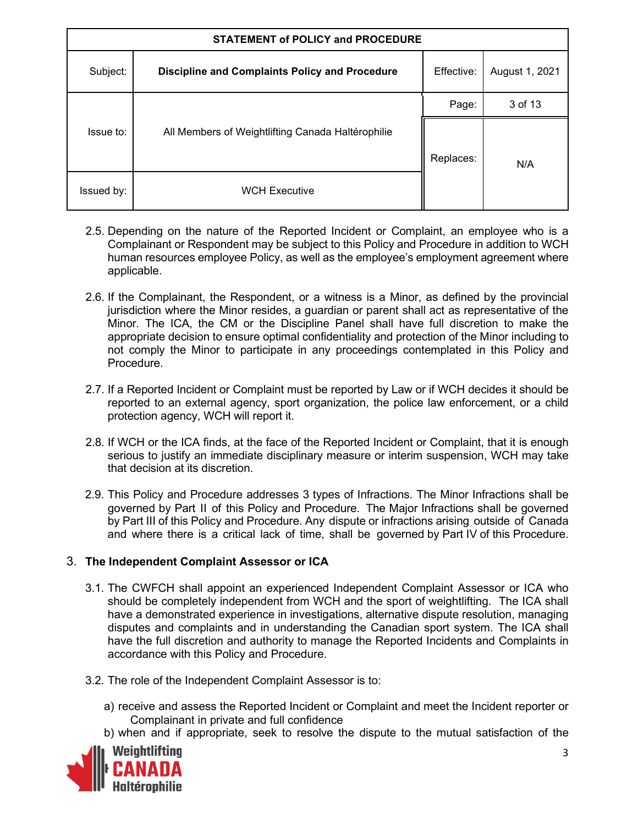| <b>STATEMENT of POLICY and PROCEDURE</b> |                                                       |            |                |
|------------------------------------------|-------------------------------------------------------|------------|----------------|
| Subject:                                 | <b>Discipline and Complaints Policy and Procedure</b> | Effective: | August 1, 2021 |
|                                          |                                                       | Page:      | 3 of 13        |
| Issue to:                                | All Members of Weightlifting Canada Haltérophilie     | Replaces:  | N/A            |
| Issued by:                               | <b>WCH Executive</b>                                  |            |                |

- 2.5. Depending on the nature of the Reported Incident or Complaint, an employee who is a Complainant or Respondent may be subject to this Policy and Procedure in addition to WCH human resources employee Policy, as well as the employee's employment agreement where applicable.
- 2.6. If the Complainant, the Respondent, or a witness is a Minor, as defined by the provincial jurisdiction where the Minor resides, a guardian or parent shall act as representative of the Minor. The ICA, the CM or the Discipline Panel shall have full discretion to make the appropriate decision to ensure optimal confidentiality and protection of the Minor including to not comply the Minor to participate in any proceedings contemplated in this Policy and Procedure.
- 2.7. If a Reported Incident or Complaint must be reported by Law or if WCH decides it should be reported to an external agency, sport organization, the police law enforcement, or a child protection agency, WCH will report it.
- 2.8. If WCH or the ICA finds, at the face of the Reported Incident or Complaint, that it is enough serious to justify an immediate disciplinary measure or interim suspension, WCH may take that decision at its discretion.
- 2.9. This Policy and Procedure addresses 3 types of Infractions. The Minor Infractions shall be governed by Part II of this Policy and Procedure. The Major Infractions shall be governed by Part III of this Policy and Procedure. Any dispute or infractions arising outside of Canada and where there is a critical lack of time, shall be governed by Part IV of this Procedure.

## 3. **The Independent Complaint Assessor or ICA**

- 3.1. The CWFCH shall appoint an experienced Independent Complaint Assessor or ICA who should be completely independent from WCH and the sport of weightlifting. The ICA shall have a demonstrated experience in investigations, alternative dispute resolution, managing disputes and complaints and in understanding the Canadian sport system. The ICA shall have the full discretion and authority to manage the Reported Incidents and Complaints in accordance with this Policy and Procedure.
- 3.2. The role of the Independent Complaint Assessor is to:
	- a) receive and assess the Reported Incident or Complaint and meet the Incident reporter or Complainant in private and full confidence
	- b) when and if appropriate, seek to resolve the dispute to the mutual satisfaction of the

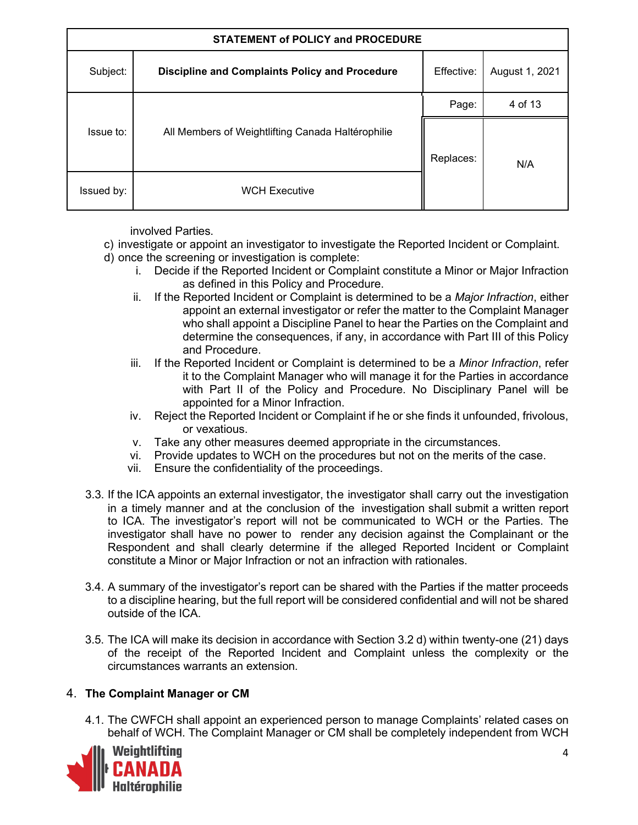| <b>STATEMENT of POLICY and PROCEDURE</b> |                                                       |            |                |
|------------------------------------------|-------------------------------------------------------|------------|----------------|
| Subject:                                 | <b>Discipline and Complaints Policy and Procedure</b> | Effective: | August 1, 2021 |
|                                          |                                                       | Page:      | 4 of 13        |
| Issue to:                                | All Members of Weightlifting Canada Haltérophilie     | Replaces:  | N/A            |
| Issued by:                               | <b>WCH Executive</b>                                  |            |                |

involved Parties.

- c) investigate or appoint an investigator to investigate the Reported Incident or Complaint.
- d) once the screening or investigation is complete:
	- i. Decide if the Reported Incident or Complaint constitute a Minor or Major Infraction as defined in this Policy and Procedure.
	- ii. If the Reported Incident or Complaint is determined to be a *Major Infraction*, either appoint an external investigator or refer the matter to the Complaint Manager who shall appoint a Discipline Panel to hear the Parties on the Complaint and determine the consequences, if any, in accordance with Part III of this Policy and Procedure.
	- iii. If the Reported Incident or Complaint is determined to be a *Minor Infraction*, refer it to the Complaint Manager who will manage it for the Parties in accordance with Part II of the Policy and Procedure. No Disciplinary Panel will be appointed for a Minor Infraction.
	- iv. Reject the Reported Incident or Complaint if he or she finds it unfounded, frivolous, or vexatious.
	- v. Take any other measures deemed appropriate in the circumstances.
	- vi. Provide updates to WCH on the procedures but not on the merits of the case.
	- vii. Ensure the confidentiality of the proceedings.
- 3.3. If the ICA appoints an external investigator, the investigator shall carry out the investigation in a timely manner and at the conclusion of the investigation shall submit a written report to ICA. The investigator's report will not be communicated to WCH or the Parties. The investigator shall have no power to render any decision against the Complainant or the Respondent and shall clearly determine if the alleged Reported Incident or Complaint constitute a Minor or Major Infraction or not an infraction with rationales.
- 3.4. A summary of the investigator's report can be shared with the Parties if the matter proceeds to a discipline hearing, but the full report will be considered confidential and will not be shared outside of the ICA.
- 3.5. The ICA will make its decision in accordance with Section 3.2 d) within twenty-one (21) days of the receipt of the Reported Incident and Complaint unless the complexity or the circumstances warrants an extension.

## 4. **The Complaint Manager or CM**

4.1. The CWFCH shall appoint an experienced person to manage Complaints' related cases on behalf of WCH. The Complaint Manager or CM shall be completely independent from WCH

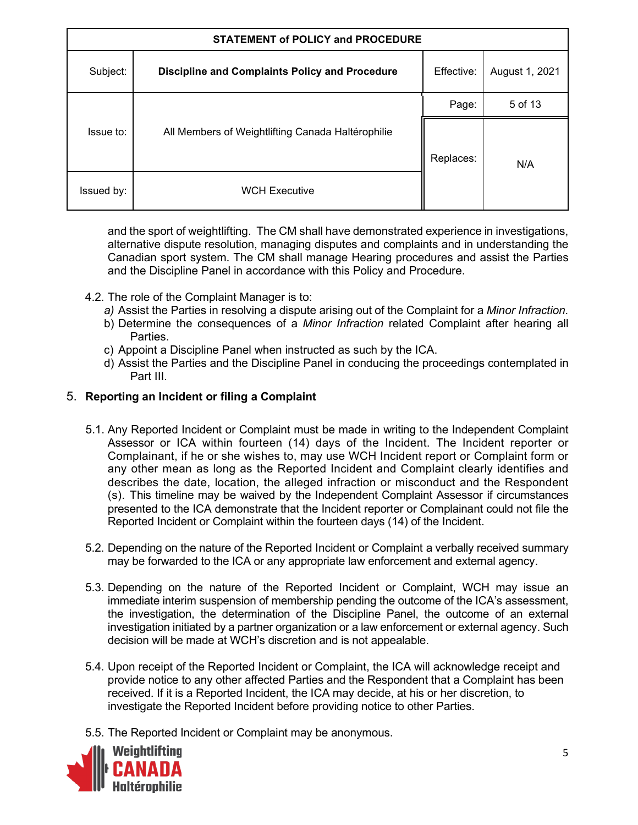| <b>STATEMENT of POLICY and PROCEDURE</b> |                                                       |            |                |
|------------------------------------------|-------------------------------------------------------|------------|----------------|
| Subject:                                 | <b>Discipline and Complaints Policy and Procedure</b> | Effective: | August 1, 2021 |
|                                          |                                                       | Page:      | 5 of 13        |
| Issue to:                                | All Members of Weightlifting Canada Haltérophilie     | Replaces:  | N/A            |
| Issued by:                               | <b>WCH Executive</b>                                  |            |                |

and the sport of weightlifting. The CM shall have demonstrated experience in investigations, alternative dispute resolution, managing disputes and complaints and in understanding the Canadian sport system. The CM shall manage Hearing procedures and assist the Parties and the Discipline Panel in accordance with this Policy and Procedure.

- 4.2. The role of the Complaint Manager is to:
	- *a)* Assist the Parties in resolving a dispute arising out of the Complaint for a *Minor Infraction.*
	- b) Determine the consequences of a *Minor Infraction* related Complaint after hearing all Parties.
	- c) Appoint a Discipline Panel when instructed as such by the ICA.
	- d) Assist the Parties and the Discipline Panel in conducing the proceedings contemplated in Part III.

#### 5. **Reporting an Incident or filing a Complaint**

- 5.1. Any Reported Incident or Complaint must be made in writing to the Independent Complaint Assessor or ICA within fourteen (14) days of the Incident. The Incident reporter or Complainant, if he or she wishes to, may use WCH Incident report or Complaint form or any other mean as long as the Reported Incident and Complaint clearly identifies and describes the date, location, the alleged infraction or misconduct and the Respondent (s). This timeline may be waived by the Independent Complaint Assessor if circumstances presented to the ICA demonstrate that the Incident reporter or Complainant could not file the Reported Incident or Complaint within the fourteen days (14) of the Incident.
- 5.2. Depending on the nature of the Reported Incident or Complaint a verbally received summary may be forwarded to the ICA or any appropriate law enforcement and external agency.
- 5.3. Depending on the nature of the Reported Incident or Complaint, WCH may issue an immediate interim suspension of membership pending the outcome of the ICA's assessment, the investigation, the determination of the Discipline Panel, the outcome of an external investigation initiated by a partner organization or a law enforcement or external agency. Such decision will be made at WCH's discretion and is not appealable.
- 5.4. Upon receipt of the Reported Incident or Complaint, the ICA will acknowledge receipt and provide notice to any other affected Parties and the Respondent that a Complaint has been received. If it is a Reported Incident, the ICA may decide, at his or her discretion, to investigate the Reported Incident before providing notice to other Parties.
- 5.5. The Reported Incident or Complaint may be anonymous.

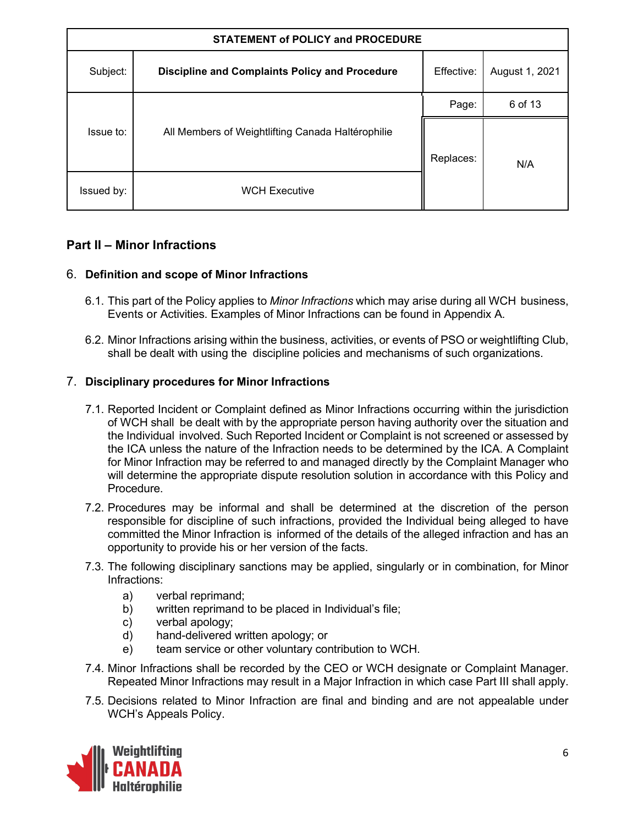| <b>STATEMENT of POLICY and PROCEDURE</b> |                                                       |            |                |
|------------------------------------------|-------------------------------------------------------|------------|----------------|
| Subject:                                 | <b>Discipline and Complaints Policy and Procedure</b> | Effective: | August 1, 2021 |
|                                          |                                                       | Page:      | 6 of 13        |
| Issue to:                                | All Members of Weightlifting Canada Haltérophilie     | Replaces:  | N/A            |
| Issued by:                               | <b>WCH Executive</b>                                  |            |                |

# **Part II – Minor Infractions**

## 6. **Definition and scope of Minor Infractions**

- 6.1. This part of the Policy applies to *Minor Infractions* which may arise during all WCH business, Events or Activities. Examples of Minor Infractions can be found in Appendix A.
- 6.2. Minor Infractions arising within the business, activities, or events of PSO or weightlifting Club, shall be dealt with using the discipline policies and mechanisms of such organizations.

#### 7. **Disciplinary procedures for Minor Infractions**

- 7.1. Reported Incident or Complaint defined as Minor Infractions occurring within the jurisdiction of WCH shall be dealt with by the appropriate person having authority over the situation and the Individual involved. Such Reported Incident or Complaint is not screened or assessed by the ICA unless the nature of the Infraction needs to be determined by the ICA. A Complaint for Minor Infraction may be referred to and managed directly by the Complaint Manager who will determine the appropriate dispute resolution solution in accordance with this Policy and Procedure.
- 7.2. Procedures may be informal and shall be determined at the discretion of the person responsible for discipline of such infractions, provided the Individual being alleged to have committed the Minor Infraction is informed of the details of the alleged infraction and has an opportunity to provide his or her version of the facts.
- 7.3. The following disciplinary sanctions may be applied, singularly or in combination, for Minor Infractions:
	- a) verbal reprimand;
	- b) written reprimand to be placed in Individual's file;
	- c) verbal apology;
	- d) hand-delivered written apology; or
	- e) team service or other voluntary contribution to WCH.
- 7.4. Minor Infractions shall be recorded by the CEO or WCH designate or Complaint Manager. Repeated Minor Infractions may result in a Major Infraction in which case Part III shall apply.
- 7.5. Decisions related to Minor Infraction are final and binding and are not appealable under WCH's Appeals Policy.

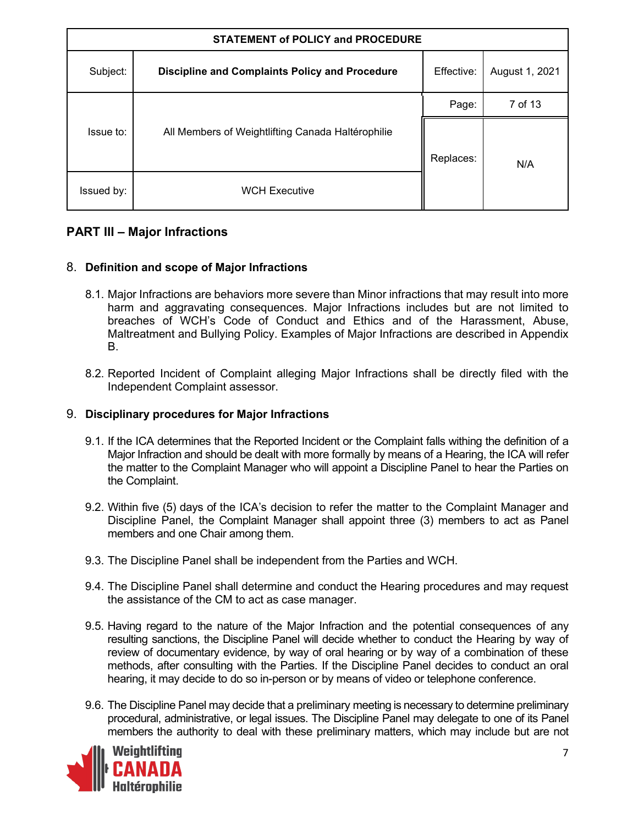| <b>STATEMENT of POLICY and PROCEDURE</b> |                                                       |            |                |
|------------------------------------------|-------------------------------------------------------|------------|----------------|
| Subject:                                 | <b>Discipline and Complaints Policy and Procedure</b> | Effective: | August 1, 2021 |
|                                          |                                                       | Page:      | 7 of 13        |
| Issue to:                                | All Members of Weightlifting Canada Haltérophilie     | Replaces:  | N/A            |
| Issued by:                               | <b>WCH Executive</b>                                  |            |                |

## **PART III – Major Infractions**

#### 8. **Definition and scope of Major Infractions**

- 8.1. Major Infractions are behaviors more severe than Minor infractions that may result into more harm and aggravating consequences. Major Infractions includes but are not limited to breaches of WCH's Code of Conduct and Ethics and of the Harassment, Abuse, Maltreatment and Bullying Policy. Examples of Major Infractions are described in Appendix B.
- 8.2. Reported Incident of Complaint alleging Major Infractions shall be directly filed with the Independent Complaint assessor.

#### 9. **Disciplinary procedures for Major Infractions**

- 9.1. If the ICA determines that the Reported Incident or the Complaint falls withing the definition of a Major Infraction and should be dealt with more formally by means of a Hearing, the ICA will refer the matter to the Complaint Manager who will appoint a Discipline Panel to hear the Parties on the Complaint.
- 9.2. Within five (5) days of the ICA's decision to refer the matter to the Complaint Manager and Discipline Panel, the Complaint Manager shall appoint three (3) members to act as Panel members and one Chair among them.
- 9.3. The Discipline Panel shall be independent from the Parties and WCH.
- 9.4. The Discipline Panel shall determine and conduct the Hearing procedures and may request the assistance of the CM to act as case manager.
- 9.5. Having regard to the nature of the Major Infraction and the potential consequences of any resulting sanctions, the Discipline Panel will decide whether to conduct the Hearing by way of review of documentary evidence, by way of oral hearing or by way of a combination of these methods, after consulting with the Parties. If the Discipline Panel decides to conduct an oral hearing, it may decide to do so in-person or by means of video or telephone conference.
- 9.6. The Discipline Panel may decide that a preliminary meeting is necessary to determine preliminary procedural, administrative, or legal issues. The Discipline Panel may delegate to one of its Panel members the authority to deal with these preliminary matters, which may include but are not

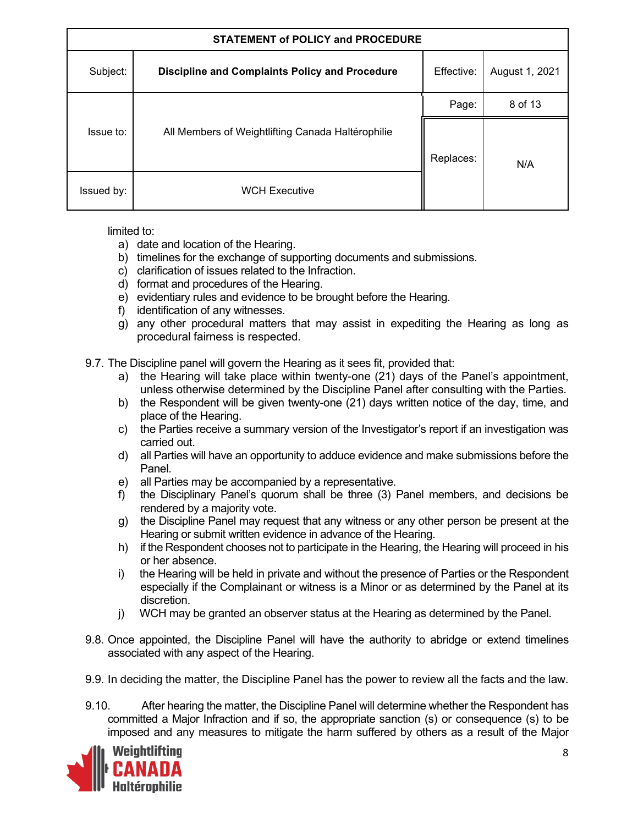| <b>STATEMENT of POLICY and PROCEDURE</b> |                                                       |            |                |
|------------------------------------------|-------------------------------------------------------|------------|----------------|
| Subject:                                 | <b>Discipline and Complaints Policy and Procedure</b> | Effective: | August 1, 2021 |
|                                          |                                                       | Page:      | 8 of 13        |
| Issue to:                                | All Members of Weightlifting Canada Haltérophilie     | Replaces:  | N/A            |
| Issued by:                               | <b>WCH Executive</b>                                  |            |                |

limited to:

- a) date and location of the Hearing.
- b) timelines for the exchange of supporting documents and submissions.
- c) clarification of issues related to the Infraction.
- d) format and procedures of the Hearing.
- e) evidentiary rules and evidence to be brought before the Hearing.
- f) identification of any witnesses.
- g) any other procedural matters that may assist in expediting the Hearing as long as procedural fairness is respected.
- 9.7. The Discipline panel will govern the Hearing as it sees fit, provided that:
	- a) the Hearing will take place within twenty-one (21) days of the Panel's appointment, unless otherwise determined by the Discipline Panel after consulting with the Parties.
	- b) the Respondent will be given twenty-one (21) days written notice of the day, time, and place of the Hearing.
	- c) the Parties receive a summary version of the Investigator's report if an investigation was carried out.
	- d) all Parties will have an opportunity to adduce evidence and make submissions before the Panel.
	- e) all Parties may be accompanied by a representative.
	- f) the Disciplinary Panel's quorum shall be three (3) Panel members, and decisions be rendered by a majority vote.
	- g) the Discipline Panel may request that any witness or any other person be present at the Hearing or submit written evidence in advance of the Hearing.
	- h) if the Respondent chooses not to participate in the Hearing, the Hearing will proceed in his or her absence.
	- i) the Hearing will be held in private and without the presence of Parties or the Respondent especially if the Complainant or witness is a Minor or as determined by the Panel at its discretion.
	- j) WCH may be granted an observer status at the Hearing as determined by the Panel.
- 9.8. Once appointed, the Discipline Panel will have the authority to abridge or extend timelines associated with any aspect of the Hearing.
- 9.9. In deciding the matter, the Discipline Panel has the power to review all the facts and the law.
- 9.10. After hearing the matter, the Discipline Panel will determine whether the Respondent has committed a Major Infraction and if so, the appropriate sanction (s) or consequence (s) to be imposed and any measures to mitigate the harm suffered by others as a result of the Major

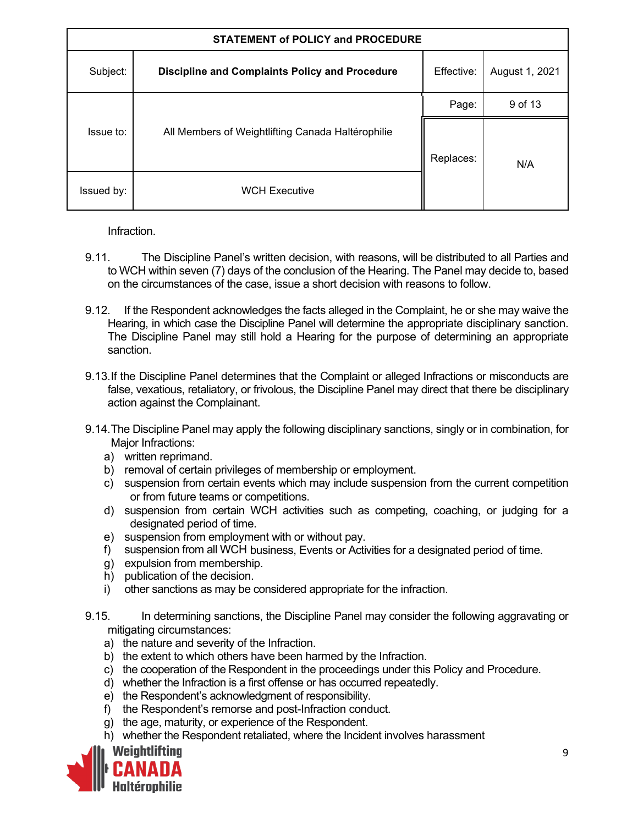| <b>STATEMENT of POLICY and PROCEDURE</b> |                                                       |            |                |
|------------------------------------------|-------------------------------------------------------|------------|----------------|
| Subject:                                 | <b>Discipline and Complaints Policy and Procedure</b> | Effective: | August 1, 2021 |
|                                          |                                                       | Page:      | 9 of 13        |
| Issue to:                                | All Members of Weightlifting Canada Haltérophilie     | Replaces:  | N/A            |
| Issued by:                               | <b>WCH Executive</b>                                  |            |                |

Infraction.

- 9.11. The Discipline Panel's written decision, with reasons, will be distributed to all Parties and to WCH within seven (7) days of the conclusion of the Hearing. The Panel may decide to, based on the circumstances of the case, issue a short decision with reasons to follow.
- 9.12. If the Respondent acknowledges the facts alleged in the Complaint, he or she may waive the Hearing, in which case the Discipline Panel will determine the appropriate disciplinary sanction. The Discipline Panel may still hold a Hearing for the purpose of determining an appropriate sanction.
- 9.13.If the Discipline Panel determines that the Complaint or alleged Infractions or misconducts are false, vexatious, retaliatory, or frivolous, the Discipline Panel may direct that there be disciplinary action against the Complainant.
- 9.14.The Discipline Panel may apply the following disciplinary sanctions, singly or in combination, for Maior Infractions:
	- a) written reprimand.
	- b) removal of certain privileges of membership or employment.
	- c) suspension from certain events which may include suspension from the current competition or from future teams or competitions.
	- d) suspension from certain WCH activities such as competing, coaching, or judging for a designated period of time.
	- e) suspension from employment with or without pay.
	- f) suspension from all WCH business, Events or Activities for a designated period of time.
	- g) expulsion from membership.
	- h) publication of the decision.
	- i) other sanctions as may be considered appropriate for the infraction.
- 9.15. In determining sanctions, the Discipline Panel may consider the following aggravating or mitigating circumstances:
	- a) the nature and severity of the Infraction.
	- b) the extent to which others have been harmed by the Infraction.
	- c) the cooperation of the Respondent in the proceedings under this Policy and Procedure.
	- d) whether the Infraction is a first offense or has occurred repeatedly.
	- e) the Respondent's acknowledgment of responsibility.
	- f) the Respondent's remorse and post-Infraction conduct.
	- g) the age, maturity, or experience of the Respondent.
	- h) whether the Respondent retaliated, where the Incident involves harassment

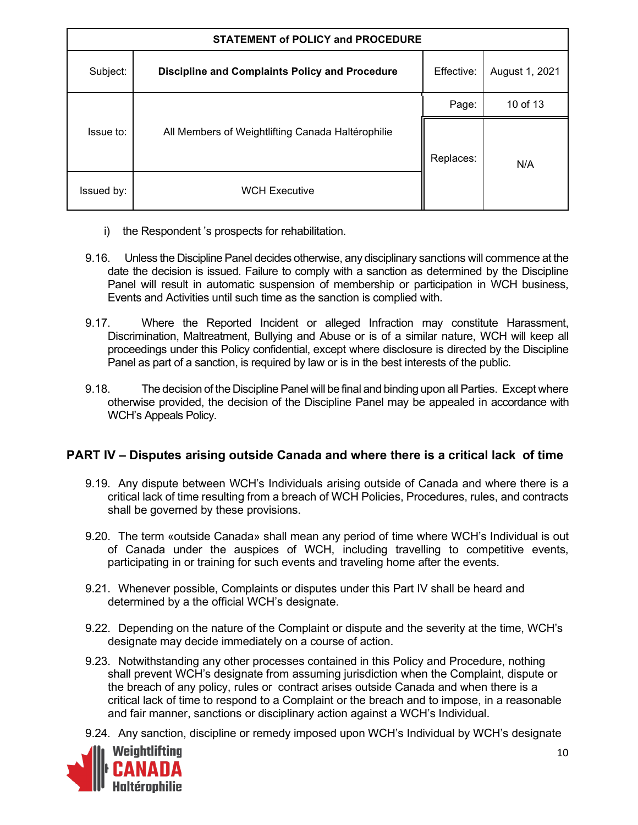| <b>STATEMENT of POLICY and PROCEDURE</b> |                                                       |            |                |
|------------------------------------------|-------------------------------------------------------|------------|----------------|
| Subject:                                 | <b>Discipline and Complaints Policy and Procedure</b> | Effective: | August 1, 2021 |
|                                          |                                                       | Page:      | 10 of 13       |
| Issue to:                                | All Members of Weightlifting Canada Haltérophilie     | Replaces:  | N/A            |
| Issued by:                               | <b>WCH Executive</b>                                  |            |                |

- i) the Respondent 's prospects for rehabilitation.
- 9.16. Unless the Discipline Panel decides otherwise, any disciplinary sanctions will commence at the date the decision is issued. Failure to comply with a sanction as determined by the Discipline Panel will result in automatic suspension of membership or participation in WCH business, Events and Activities until such time as the sanction is complied with.
- 9.17. Where the Reported Incident or alleged Infraction may constitute Harassment, Discrimination, Maltreatment, Bullying and Abuse or is of a similar nature, WCH will keep all proceedings under this Policy confidential, except where disclosure is directed by the Discipline Panel as part of a sanction, is required by law or is in the best interests of the public.
- 9.18. The decision of the Discipline Panel will be final and binding upon all Parties. Except where otherwise provided, the decision of the Discipline Panel may be appealed in accordance with WCH's Appeals Policy.

## **PART IV – Disputes arising outside Canada and where there is a critical lack of time**

- 9.19. Any dispute between WCH's Individuals arising outside of Canada and where there is a critical lack of time resulting from a breach of WCH Policies, Procedures, rules, and contracts shall be governed by these provisions.
- 9.20. The term «outside Canada» shall mean any period of time where WCH's Individual is out of Canada under the auspices of WCH, including travelling to competitive events, participating in or training for such events and traveling home after the events.
- 9.21. Whenever possible, Complaints or disputes under this Part IV shall be heard and determined by a the official WCH's designate.
- 9.22. Depending on the nature of the Complaint or dispute and the severity at the time, WCH's designate may decide immediately on a course of action.
- 9.23. Notwithstanding any other processes contained in this Policy and Procedure, nothing shall prevent WCH's designate from assuming jurisdiction when the Complaint, dispute or the breach of any policy, rules or contract arises outside Canada and when there is a critical lack of time to respond to a Complaint or the breach and to impose, in a reasonable and fair manner, sanctions or disciplinary action against a WCH's Individual.
- 9.24. Any sanction, discipline or remedy imposed upon WCH's Individual by WCH's designate

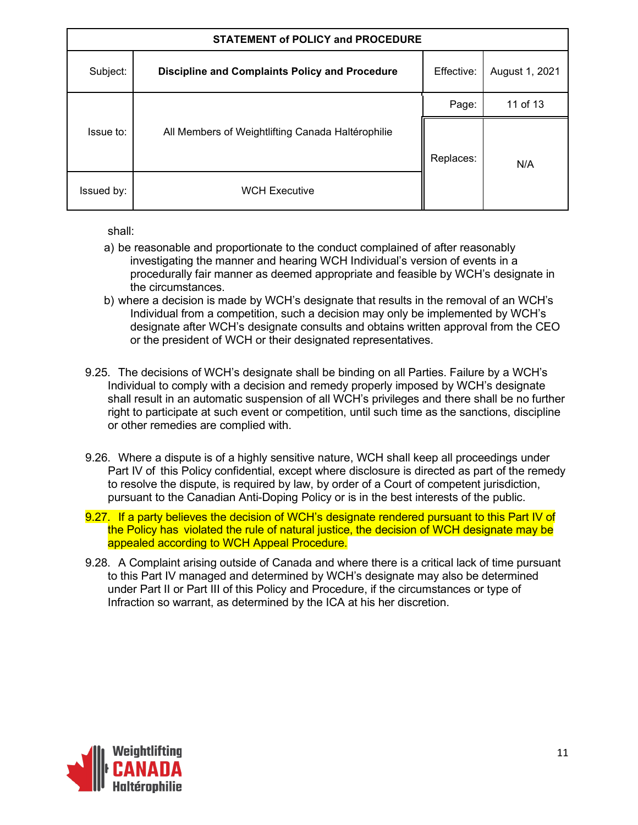| <b>STATEMENT of POLICY and PROCEDURE</b> |                                                       |            |                |
|------------------------------------------|-------------------------------------------------------|------------|----------------|
| Subject:                                 | <b>Discipline and Complaints Policy and Procedure</b> | Effective: | August 1, 2021 |
|                                          |                                                       | Page:      | 11 of 13       |
| Issue to:                                | All Members of Weightlifting Canada Haltérophilie     | Replaces:  | N/A            |
| Issued by:                               | <b>WCH Executive</b>                                  |            |                |

shall:

- a) be reasonable and proportionate to the conduct complained of after reasonably investigating the manner and hearing WCH Individual's version of events in a procedurally fair manner as deemed appropriate and feasible by WCH's designate in the circumstances.
- b) where a decision is made by WCH's designate that results in the removal of an WCH's Individual from a competition, such a decision may only be implemented by WCH's designate after WCH's designate consults and obtains written approval from the CEO or the president of WCH or their designated representatives.
- 9.25. The decisions of WCH's designate shall be binding on all Parties. Failure by a WCH's Individual to comply with a decision and remedy properly imposed by WCH's designate shall result in an automatic suspension of all WCH's privileges and there shall be no further right to participate at such event or competition, until such time as the sanctions, discipline or other remedies are complied with.
- 9.26. Where a dispute is of a highly sensitive nature, WCH shall keep all proceedings under Part IV of this Policy confidential, except where disclosure is directed as part of the remedy to resolve the dispute, is required by law, by order of a Court of competent jurisdiction, pursuant to the Canadian Anti-Doping Policy or is in the best interests of the public.
- 9.27. If a party believes the decision of WCH's designate rendered pursuant to this Part IV of the Policy has violated the rule of natural justice, the decision of WCH designate may be appealed according to WCH Appeal Procedure.
- 9.28. A Complaint arising outside of Canada and where there is a critical lack of time pursuant to this Part IV managed and determined by WCH's designate may also be determined under Part II or Part III of this Policy and Procedure, if the circumstances or type of Infraction so warrant, as determined by the ICA at his her discretion.

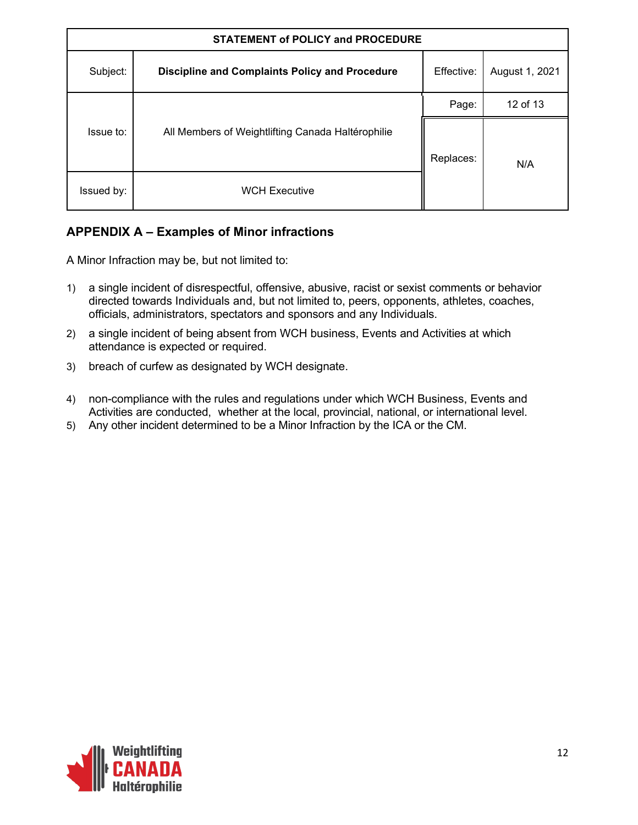| <b>STATEMENT of POLICY and PROCEDURE</b> |                                                       |            |                |
|------------------------------------------|-------------------------------------------------------|------------|----------------|
| Subject:                                 | <b>Discipline and Complaints Policy and Procedure</b> | Effective: | August 1, 2021 |
|                                          |                                                       | Page:      | 12 of 13       |
| Issue to:                                | All Members of Weightlifting Canada Haltérophilie     | Replaces:  | N/A            |
| Issued by:                               | <b>WCH Executive</b>                                  |            |                |

# **APPENDIX A – Examples of Minor infractions**

A Minor Infraction may be, but not limited to:

- 1) a single incident of disrespectful, offensive, abusive, racist or sexist comments or behavior directed towards Individuals and, but not limited to, peers, opponents, athletes, coaches, officials, administrators, spectators and sponsors and any Individuals.
- 2) a single incident of being absent from WCH business, Events and Activities at which attendance is expected or required.
- 3) breach of curfew as designated by WCH designate.
- 4) non-compliance with the rules and regulations under which WCH Business, Events and Activities are conducted, whether at the local, provincial, national, or international level.
- 5) Any other incident determined to be a Minor Infraction by the ICA or the CM.